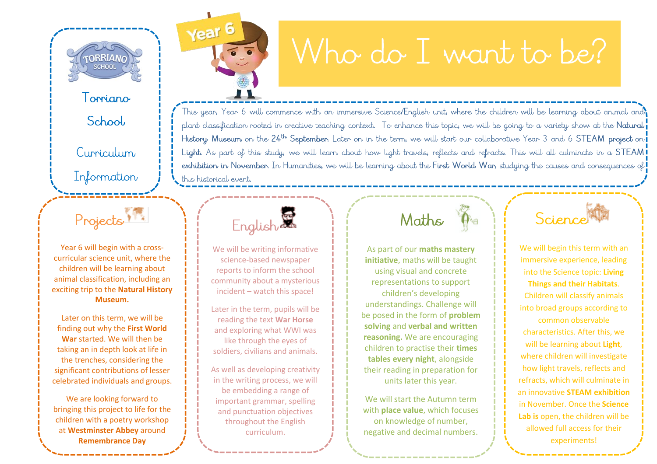

Torriano

School

Curriculum

Information

# Who do I want to be?

This year, Year 6 will commence with an immersive Science/English unit, where the children will be learning about animal and, plant classification rooted in creative teaching context. To enhance this topic, we will be going to a variety show at the Natural History Museum on the 24th September. Later on in the term, we will start our collaborative Year 3 and 6 STEAM project on Light. As part of this study, we will learn about how light travels, reflects and refracts. This will all culminate in a STEAM! exhibition in November. In Humanities, we will be learning about the First World War, studying the causes and consequences of this historical event.

#### Projects

Year 6 will begin with a cross curricular science unit , where the children will be learning about animal classification, including an exciting trip to the **Natural History Museum.**

Later on this term, we will be finding out why the **First World War** started. We will then be taking an in depth look at life in the trenches, considering the significant contributions of lesser celebrated individuals and groups.

We are looking forward to bringing this project to life for the children with a poetry workshop at **Westminster Abbey** around **Remembrance Day**

English

Year<sup>6</sup>

We will be writing informative science -based newspaper reports to inform the school community about a mysterious incident – watch this space!

Later in the term, pupils will be reading the text **War Horse** and exploring what WWI was like through the eyes of soldiers, civilians and animals.

As well as developing creativity in the writing process, we will be embedding a range of important grammar, spelling and punctuation objectives throughout the English curriculum.

### Maths

As part of our **maths mastery initiative**, maths will be taught using visual and concrete representations to support children's developing understandings. Challenge will be posed in the form of **problem solving** and **verbal and written reasoning.** We are encouraging children to practise their **times tables every night**, alongside their reading in preparation for units later this year.

We will start the Autumn term with **place value**, which focuses on knowledge of number, negative and decimal numbers.

Science

We will begin this term with an immersive experience, leading into the Science topic: **Living Things and their Habitats**. Children will classify animals into broad groups according to common observable characteristics . After this, we will be learning about **Light**, where children will investigate how light travels, reflects and refracts, which will culminate in an innovative **STEAM exhibition** in November. Once the **Science Lab is** open, the children will be allowed full access for their experiments!